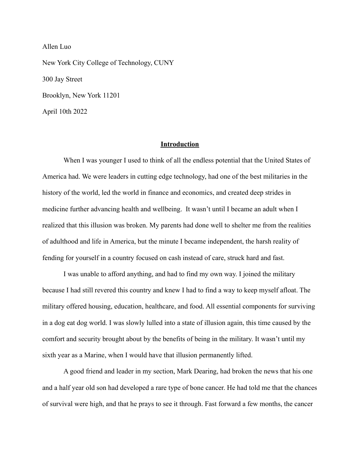Allen Luo New York City College of Technology, CUNY 300 Jay Street Brooklyn, New York 11201 April 10th 2022

#### **Introduction**

When I was younger I used to think of all the endless potential that the United States of America had. We were leaders in cutting edge technology, had one of the best militaries in the history of the world, led the world in finance and economics, and created deep strides in medicine further advancing health and wellbeing. It wasn't until I became an adult when I realized that this illusion was broken. My parents had done well to shelter me from the realities of adulthood and life in America, but the minute I became independent, the harsh reality of fending for yourself in a country focused on cash instead of care, struck hard and fast.

I was unable to afford anything, and had to find my own way. I joined the military because I had still revered this country and knew I had to find a way to keep myself afloat. The military offered housing, education, healthcare, and food. All essential components for surviving in a dog eat dog world. I was slowly lulled into a state of illusion again, this time caused by the comfort and security brought about by the benefits of being in the military. It wasn't until my sixth year as a Marine, when I would have that illusion permanently lifted.

A good friend and leader in my section, Mark Dearing, had broken the news that his one and a half year old son had developed a rare type of bone cancer. He had told me that the chances of survival were high, and that he prays to see it through. Fast forward a few months, the cancer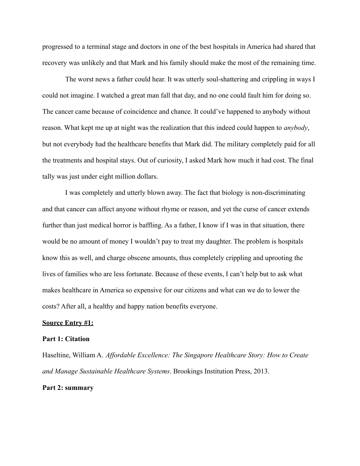progressed to a terminal stage and doctors in one of the best hospitals in America had shared that recovery was unlikely and that Mark and his family should make the most of the remaining time.

The worst news a father could hear. It was utterly soul-shattering and crippling in ways I could not imagine. I watched a great man fall that day, and no one could fault him for doing so. The cancer came because of coincidence and chance. It could've happened to anybody without reason. What kept me up at night was the realization that this indeed could happen to *anybody*, but not everybody had the healthcare benefits that Mark did. The military completely paid for all the treatments and hospital stays. Out of curiosity, I asked Mark how much it had cost. The final tally was just under eight million dollars.

I was completely and utterly blown away. The fact that biology is non-discriminating and that cancer can affect anyone without rhyme or reason, and yet the curse of cancer extends further than just medical horror is baffling. As a father, I know if I was in that situation, there would be no amount of money I wouldn't pay to treat my daughter. The problem is hospitals know this as well, and charge obscene amounts, thus completely crippling and uprooting the lives of families who are less fortunate. Because of these events, I can't help but to ask what makes healthcare in America so expensive for our citizens and what can we do to lower the costs? After all, a healthy and happy nation benefits everyone.

## **Source Entry #1:**

#### **Part 1: Citation**

Haseltine, William A. *Affordable Excellence: The Singapore Healthcare Story: How to Create and Manage Sustainable Healthcare Systems*. Brookings Institution Press, 2013.

# **Part 2: summary**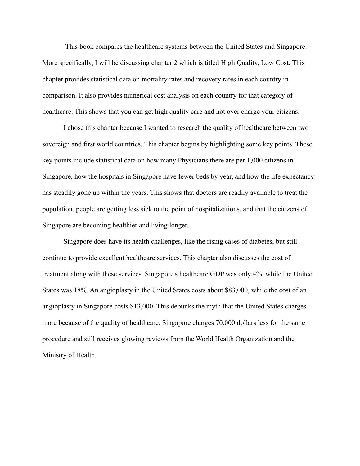This book compares the healthcare systems between the United States and Singapore. More specifically, I will be discussing chapter 2 which is titled High Quality, Low Cost. This chapter provides statistical data on mortality rates and recovery rates in each country in comparison. It also provides numerical cost analysis on each country for that category of healthcare. This shows that you can get high quality care and not over charge your citizens.

I chose this chapter because I wanted to research the quality of healthcare between two sovereign and first world countries. This chapter begins by highlighting some key points. These key points include statistical data on how many Physicians there are per 1,000 citizens in Singapore, how the hospitals in Singapore have fewer beds by year, and how the life expectancy has steadily gone up within the years. This shows that doctors are readily available to treat the population, people are getting less sick to the point of hospitalizations, and that the citizens of Singapore are becoming healthier and living longer.

Singapore does have its health challenges, like the rising cases of diabetes, but still continue to provide excellent healthcare services. This chapter also discusses the cost of treatment along with these services. Singapore's healthcare GDP was only 4%, while the United States was 18%. An angioplasty in the United States costs about \$83,000, while the cost of an angioplasty in Singapore costs \$13,000. This debunks the myth that the United States charges more because of the quality of healthcare. Singapore charges 70,000 dollars less for the same procedure and still receives glowing reviews from the World Health Organization and the Ministry of Health.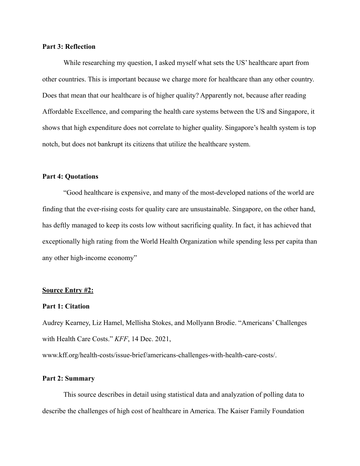# **Part 3: Reflection**

While researching my question, I asked myself what sets the US' healthcare apart from other countries. This is important because we charge more for healthcare than any other country. Does that mean that our healthcare is of higher quality? Apparently not, because after reading Affordable Excellence, and comparing the health care systems between the US and Singapore, it shows that high expenditure does not correlate to higher quality. Singapore's health system is top notch, but does not bankrupt its citizens that utilize the healthcare system.

## **Part 4: Quotations**

"Good healthcare is expensive, and many of the most-developed nations of the world are finding that the ever-rising costs for quality care are unsustainable. Singapore, on the other hand, has deftly managed to keep its costs low without sacrificing quality. In fact, it has achieved that exceptionally high rating from the World Health Organization while spending less per capita than any other high-income economy"

#### **Source Entry #2:**

#### **Part 1: Citation**

Audrey Kearney, Liz Hamel, Mellisha Stokes, and Mollyann Brodie. "Americans' Challenges with Health Care Costs." *KFF*, 14 Dec. 2021,

www.kff.org/health-costs/issue-brief/americans-challenges-with-health-care-costs/.

# **Part 2: Summary**

This source describes in detail using statistical data and analyzation of polling data to describe the challenges of high cost of healthcare in America. The Kaiser Family Foundation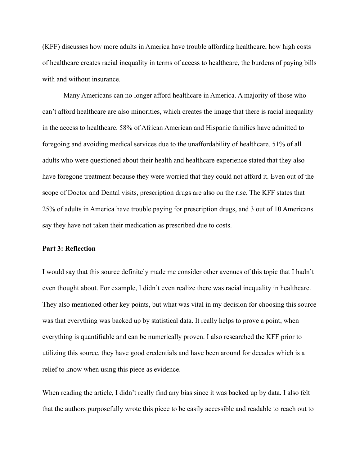(KFF) discusses how more adults in America have trouble affording healthcare, how high costs of healthcare creates racial inequality in terms of access to healthcare, the burdens of paying bills with and without insurance.

Many Americans can no longer afford healthcare in America. A majority of those who can't afford healthcare are also minorities, which creates the image that there is racial inequality in the access to healthcare. 58% of African American and Hispanic families have admitted to foregoing and avoiding medical services due to the unaffordability of healthcare. 51% of all adults who were questioned about their health and healthcare experience stated that they also have foregone treatment because they were worried that they could not afford it. Even out of the scope of Doctor and Dental visits, prescription drugs are also on the rise. The KFF states that 25% of adults in America have trouble paying for prescription drugs, and 3 out of 10 Americans say they have not taken their medication as prescribed due to costs.

## **Part 3: Reflection**

I would say that this source definitely made me consider other avenues of this topic that I hadn't even thought about. For example, I didn't even realize there was racial inequality in healthcare. They also mentioned other key points, but what was vital in my decision for choosing this source was that everything was backed up by statistical data. It really helps to prove a point, when everything is quantifiable and can be numerically proven. I also researched the KFF prior to utilizing this source, they have good credentials and have been around for decades which is a relief to know when using this piece as evidence.

When reading the article, I didn't really find any bias since it was backed up by data. I also felt that the authors purposefully wrote this piece to be easily accessible and readable to reach out to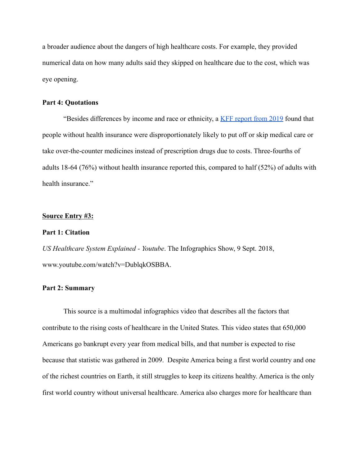a broader audience about the dangers of high healthcare costs. For example, they provided numerical data on how many adults said they skipped on healthcare due to the cost, which was eye opening.

#### **Part 4: Quotations**

"Besides differences by income and race or ethnicity, a [KFF report from 2019](https://files.kff.org/attachment/Topline-KFF-Health-Tracking-Poll-March-2019) found that people without health insurance were disproportionately likely to put off or skip medical care or take over-the-counter medicines instead of prescription drugs due to costs. Three-fourths of adults 18-64 (76%) without health insurance reported this, compared to half (52%) of adults with health insurance."

#### **Source Entry #3:**

## **Part 1: Citation**

*US Healthcare System Explained - Youtube*. The Infographics Show, 9 Sept. 2018, www.youtube.com/watch?v=DublqkOSBBA.

# **Part 2: Summary**

This source is a multimodal infographics video that describes all the factors that contribute to the rising costs of healthcare in the United States. This video states that 650,000 Americans go bankrupt every year from medical bills, and that number is expected to rise because that statistic was gathered in 2009. Despite America being a first world country and one of the richest countries on Earth, it still struggles to keep its citizens healthy. America is the only first world country without universal healthcare. America also charges more for healthcare than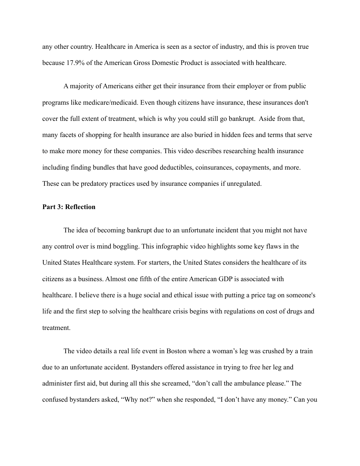any other country. Healthcare in America is seen as a sector of industry, and this is proven true because 17.9% of the American Gross Domestic Product is associated with healthcare.

A majority of Americans either get their insurance from their employer or from public programs like medicare/medicaid. Even though citizens have insurance, these insurances don't cover the full extent of treatment, which is why you could still go bankrupt. Aside from that, many facets of shopping for health insurance are also buried in hidden fees and terms that serve to make more money for these companies. This video describes researching health insurance including finding bundles that have good deductibles, coinsurances, copayments, and more. These can be predatory practices used by insurance companies if unregulated.

## **Part 3: Reflection**

The idea of becoming bankrupt due to an unfortunate incident that you might not have any control over is mind boggling. This infographic video highlights some key flaws in the United States Healthcare system. For starters, the United States considers the healthcare of its citizens as a business. Almost one fifth of the entire American GDP is associated with healthcare. I believe there is a huge social and ethical issue with putting a price tag on someone's life and the first step to solving the healthcare crisis begins with regulations on cost of drugs and treatment.

The video details a real life event in Boston where a woman's leg was crushed by a train due to an unfortunate accident. Bystanders offered assistance in trying to free her leg and administer first aid, but during all this she screamed, "don't call the ambulance please." The confused bystanders asked, "Why not?" when she responded, "I don't have any money." Can you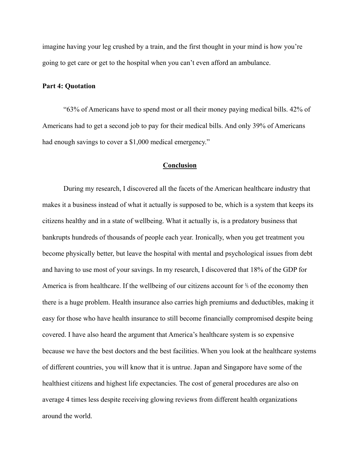imagine having your leg crushed by a train, and the first thought in your mind is how you're going to get care or get to the hospital when you can't even afford an ambulance.

#### **Part 4: Quotation**

"63% of Americans have to spend most or all their money paying medical bills. 42% of Americans had to get a second job to pay for their medical bills. And only 39% of Americans had enough savings to cover a \$1,000 medical emergency."

# **Conclusion**

During my research, I discovered all the facets of the American healthcare industry that makes it a business instead of what it actually is supposed to be, which is a system that keeps its citizens healthy and in a state of wellbeing. What it actually is, is a predatory business that bankrupts hundreds of thousands of people each year. Ironically, when you get treatment you become physically better, but leave the hospital with mental and psychological issues from debt and having to use most of your savings. In my research, I discovered that 18% of the GDP for America is from healthcare. If the wellbeing of our citizens account for ⅕ of the economy then there is a huge problem. Health insurance also carries high premiums and deductibles, making it easy for those who have health insurance to still become financially compromised despite being covered. I have also heard the argument that America's healthcare system is so expensive because we have the best doctors and the best facilities. When you look at the healthcare systems of different countries, you will know that it is untrue. Japan and Singapore have some of the healthiest citizens and highest life expectancies. The cost of general procedures are also on average 4 times less despite receiving glowing reviews from different health organizations around the world.